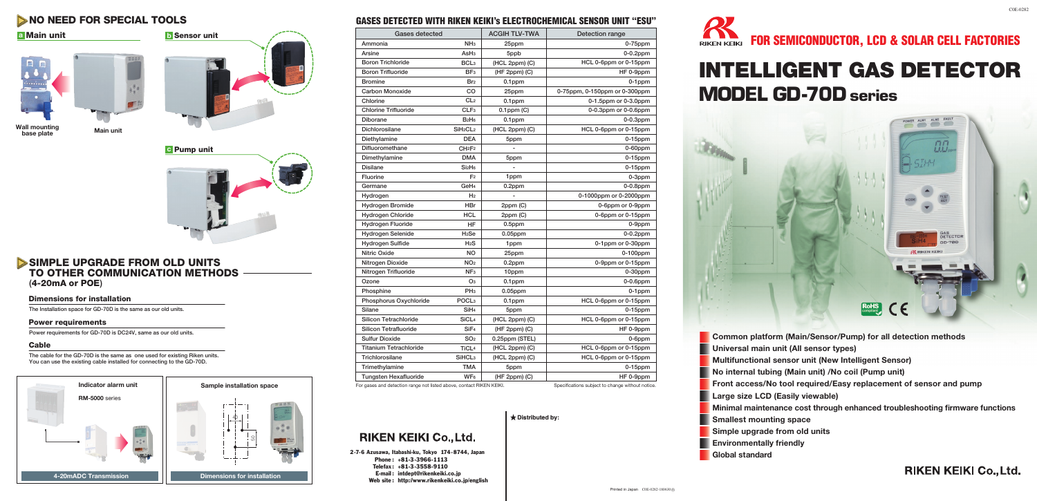# NO NEED FOR SPECIAL TOOLS

## **a b** Main unit





**Wall mounting base plate Main unit**



# SIMPLE UPGRADE FROM OLD UNITS TO OTHER COMMUNICATION METHODS (4-20mA or POE)

## Dimensions for installation

The Installation space for GD-70D is the same as our old units.

#### Power requirements

Power requirements for GD-70D is DC24V, same as our old units.

### Cable

The cable for the GD-70D is the same as one used for existing Riken units. You can use the existing cable installed for connecting to the GD-70D.